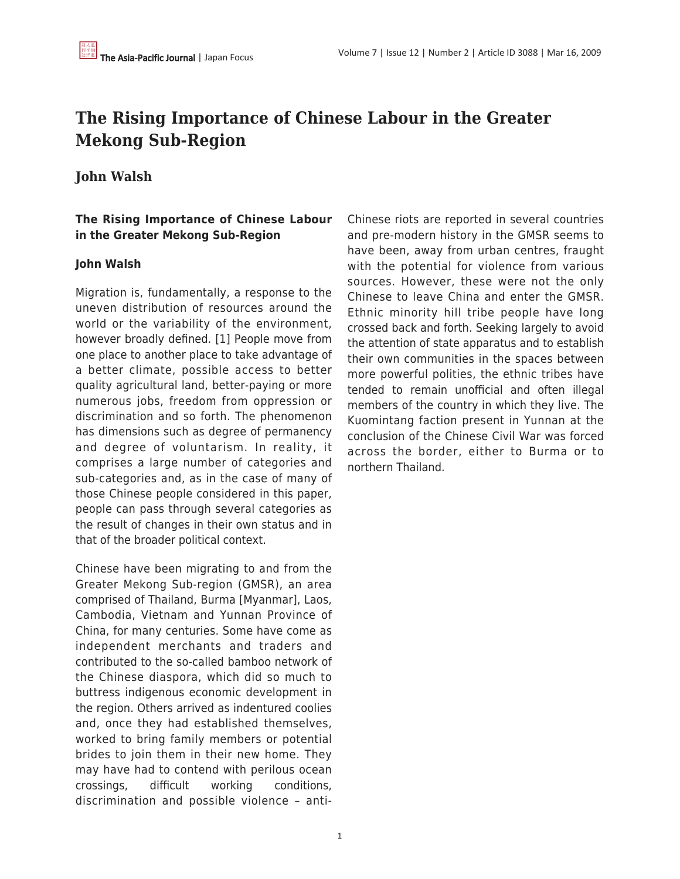# **The Rising Importance of Chinese Labour in the Greater Mekong Sub-Region**

## **John Walsh**

## **The Rising Importance of Chinese Labour in the Greater Mekong Sub-Region**

## **John Walsh**

Migration is, fundamentally, a response to the uneven distribution of resources around the world or the variability of the environment, however broadly defined. [1] People move from one place to another place to take advantage of a better climate, possible access to better quality agricultural land, better-paying or more numerous jobs, freedom from oppression or discrimination and so forth. The phenomenon has dimensions such as degree of permanency and degree of voluntarism. In reality, it comprises a large number of categories and sub-categories and, as in the case of many of those Chinese people considered in this paper, people can pass through several categories as the result of changes in their own status and in that of the broader political context.

Chinese have been migrating to and from the Greater Mekong Sub-region (GMSR), an area comprised of Thailand, Burma [Myanmar], Laos, Cambodia, Vietnam and Yunnan Province of China, for many centuries. Some have come as independent merchants and traders and contributed to the so-called bamboo network of the Chinese diaspora, which did so much to buttress indigenous economic development in the region. Others arrived as indentured coolies and, once they had established themselves, worked to bring family members or potential brides to join them in their new home. They may have had to contend with perilous ocean crossings, difficult working conditions, discrimination and possible violence – antiChinese riots are reported in several countries and pre-modern history in the GMSR seems to have been, away from urban centres, fraught with the potential for violence from various sources. However, these were not the only Chinese to leave China and enter the GMSR. Ethnic minority hill tribe people have long crossed back and forth. Seeking largely to avoid the attention of state apparatus and to establish their own communities in the spaces between more powerful polities, the ethnic tribes have tended to remain unofficial and often illegal members of the country in which they live. The Kuomintang faction present in Yunnan at the conclusion of the Chinese Civil War was forced across the border, either to Burma or to northern Thailand.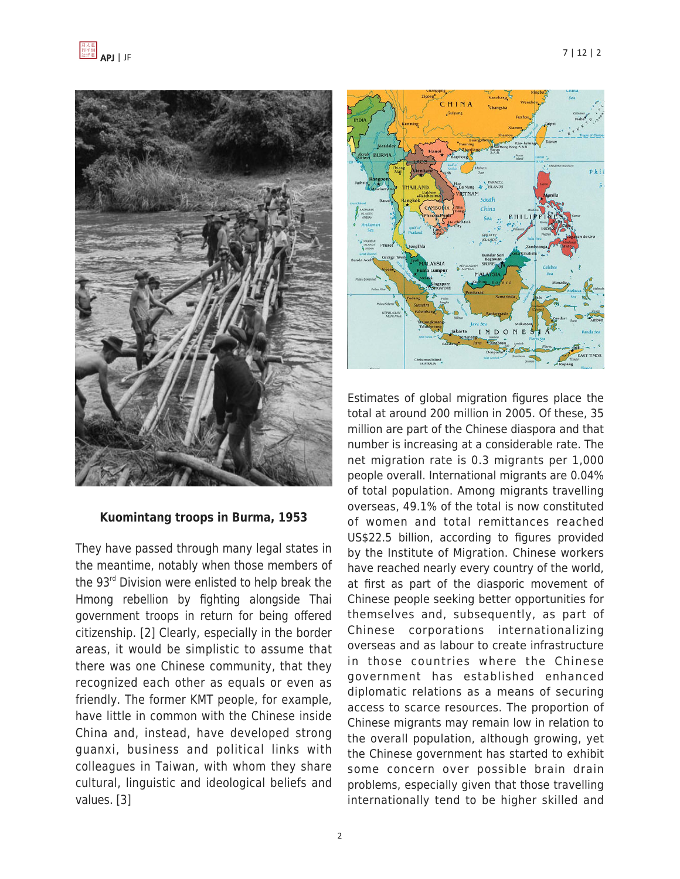

#### **Kuomintang troops in Burma, 1953**

They have passed through many legal states in the meantime, notably when those members of the  $93<sup>rd</sup>$  Division were enlisted to help break the Hmong rebellion by fighting alongside Thai government troops in return for being offered citizenship. [2] Clearly, especially in the border areas, it would be simplistic to assume that there was one Chinese community, that they recognized each other as equals or even as friendly. The former KMT people, for example, have little in common with the Chinese inside China and, instead, have developed strong guanxi, business and political links with colleagues in Taiwan, with whom they share cultural, linguistic and ideological beliefs and values. [3]



Estimates of global migration figures place the total at around 200 million in 2005. Of these, 35 million are part of the Chinese diaspora and that number is increasing at a considerable rate. The net migration rate is 0.3 migrants per 1,000 people overall. International migrants are 0.04% of total population. Among migrants travelling overseas, 49.1% of the total is now constituted of women and total remittances reached US\$22.5 billion, according to figures provided by the Institute of Migration. Chinese workers have reached nearly every country of the world, at first as part of the diasporic movement of Chinese people seeking better opportunities for themselves and, subsequently, as part of Chinese corporations internationalizing overseas and as labour to create infrastructure in those countries where the Chinese government has established enhanced diplomatic relations as a means of securing access to scarce resources. The proportion of Chinese migrants may remain low in relation to the overall population, although growing, yet the Chinese government has started to exhibit some concern over possible brain drain problems, especially given that those travelling internationally tend to be higher skilled and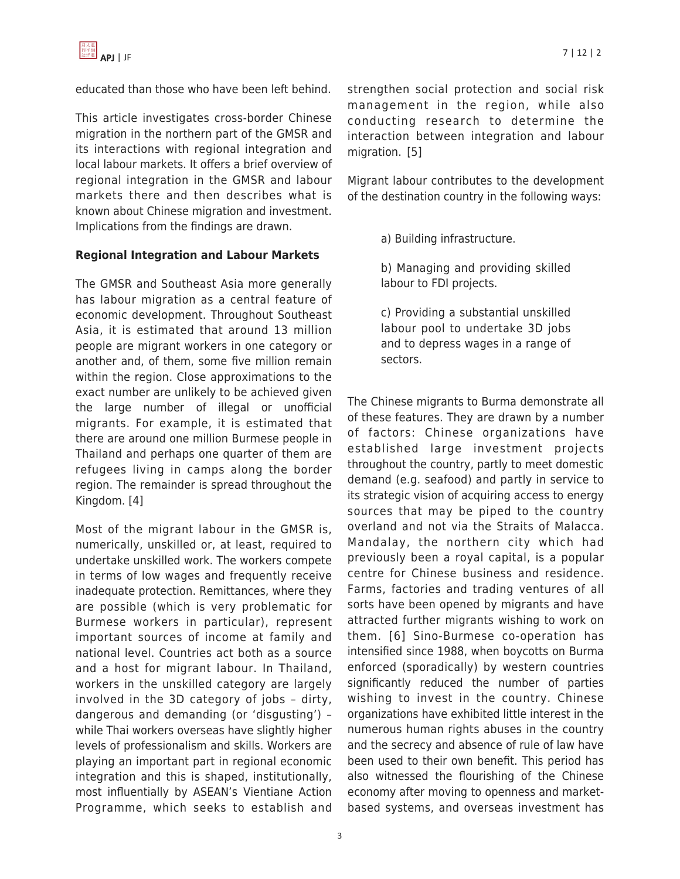

educated than those who have been left behind.

This article investigates cross-border Chinese migration in the northern part of the GMSR and its interactions with regional integration and local labour markets. It offers a brief overview of regional integration in the GMSR and labour markets there and then describes what is known about Chinese migration and investment. Implications from the findings are drawn.

## **Regional Integration and Labour Markets**

The GMSR and Southeast Asia more generally has labour migration as a central feature of economic development. Throughout Southeast Asia, it is estimated that around 13 million people are migrant workers in one category or another and, of them, some five million remain within the region. Close approximations to the exact number are unlikely to be achieved given the large number of illegal or unofficial migrants. For example, it is estimated that there are around one million Burmese people in Thailand and perhaps one quarter of them are refugees living in camps along the border region. The remainder is spread throughout the Kingdom. [4]

Most of the migrant labour in the GMSR is, numerically, unskilled or, at least, required to undertake unskilled work. The workers compete in terms of low wages and frequently receive inadequate protection. Remittances, where they are possible (which is very problematic for Burmese workers in particular), represent important sources of income at family and national level. Countries act both as a source and a host for migrant labour. In Thailand, workers in the unskilled category are largely involved in the 3D category of jobs – dirty, dangerous and demanding (or 'disgusting') – while Thai workers overseas have slightly higher levels of professionalism and skills. Workers are playing an important part in regional economic integration and this is shaped, institutionally, most influentially by ASEAN's Vientiane Action Programme, which seeks to establish and strengthen social protection and social risk management in the region, while also conducting research to determine the interaction between integration and labour migration. [5]

Migrant labour contributes to the development of the destination country in the following ways:

a) Building infrastructure.

b) Managing and providing skilled labour to FDI projects.

c) Providing a substantial unskilled labour pool to undertake 3D jobs and to depress wages in a range of sectors.

The Chinese migrants to Burma demonstrate all of these features. They are drawn by a number of factors: Chinese organizations have established large investment projects throughout the country, partly to meet domestic demand (e.g. seafood) and partly in service to its strategic vision of acquiring access to energy sources that may be piped to the country overland and not via the Straits of Malacca. Mandalay, the northern city which had previously been a royal capital, is a popular centre for Chinese business and residence. Farms, factories and trading ventures of all sorts have been opened by migrants and have attracted further migrants wishing to work on them. [6] Sino-Burmese co-operation has intensified since 1988, when boycotts on Burma enforced (sporadically) by western countries significantly reduced the number of parties wishing to invest in the country. Chinese organizations have exhibited little interest in the numerous human rights abuses in the country and the secrecy and absence of rule of law have been used to their own benefit. This period has also witnessed the flourishing of the Chinese economy after moving to openness and marketbased systems, and overseas investment has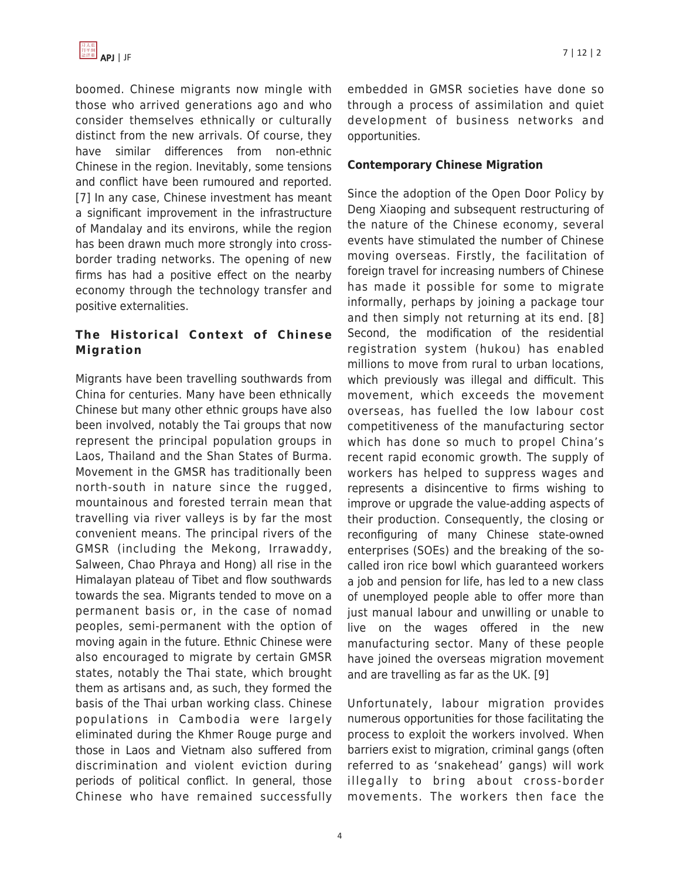

boomed. Chinese migrants now mingle with those who arrived generations ago and who consider themselves ethnically or culturally distinct from the new arrivals. Of course, they have similar differences from non-ethnic Chinese in the region. Inevitably, some tensions and conflict have been rumoured and reported. [7] In any case, Chinese investment has meant a significant improvement in the infrastructure of Mandalay and its environs, while the region has been drawn much more strongly into crossborder trading networks. The opening of new firms has had a positive effect on the nearby economy through the technology transfer and positive externalities.

## **The Historical Context of Chinese Migration**

Migrants have been travelling southwards from China for centuries. Many have been ethnically Chinese but many other ethnic groups have also been involved, notably the Tai groups that now represent the principal population groups in Laos, Thailand and the Shan States of Burma. Movement in the GMSR has traditionally been north-south in nature since the rugged, mountainous and forested terrain mean that travelling via river valleys is by far the most convenient means. The principal rivers of the GMSR (including the Mekong, Irrawaddy, Salween, Chao Phraya and Hong) all rise in the Himalayan plateau of Tibet and flow southwards towards the sea. Migrants tended to move on a permanent basis or, in the case of nomad peoples, semi-permanent with the option of moving again in the future. Ethnic Chinese were also encouraged to migrate by certain GMSR states, notably the Thai state, which brought them as artisans and, as such, they formed the basis of the Thai urban working class. Chinese populations in Cambodia were largely eliminated during the Khmer Rouge purge and those in Laos and Vietnam also suffered from discrimination and violent eviction during periods of political conflict. In general, those Chinese who have remained successfully embedded in GMSR societies have done so through a process of assimilation and quiet development of business networks and opportunities.

#### **Contemporary Chinese Migration**

Since the adoption of the Open Door Policy by Deng Xiaoping and subsequent restructuring of the nature of the Chinese economy, several events have stimulated the number of Chinese moving overseas. Firstly, the facilitation of foreign travel for increasing numbers of Chinese has made it possible for some to migrate informally, perhaps by joining a package tour and then simply not returning at its end. [8] Second, the modification of the residential registration system (hukou) has enabled millions to move from rural to urban locations, which previously was illegal and difficult. This movement, which exceeds the movement overseas, has fuelled the low labour cost competitiveness of the manufacturing sector which has done so much to propel China's recent rapid economic growth. The supply of workers has helped to suppress wages and represents a disincentive to firms wishing to improve or upgrade the value-adding aspects of their production. Consequently, the closing or reconfiguring of many Chinese state-owned enterprises (SOEs) and the breaking of the socalled iron rice bowl which guaranteed workers a job and pension for life, has led to a new class of unemployed people able to offer more than just manual labour and unwilling or unable to live on the wages offered in the new manufacturing sector. Many of these people have joined the overseas migration movement and are travelling as far as the UK. [9]

Unfortunately, labour migration provides numerous opportunities for those facilitating the process to exploit the workers involved. When barriers exist to migration, criminal gangs (often referred to as 'snakehead' gangs) will work illegally to bring about cross-border movements. The workers then face the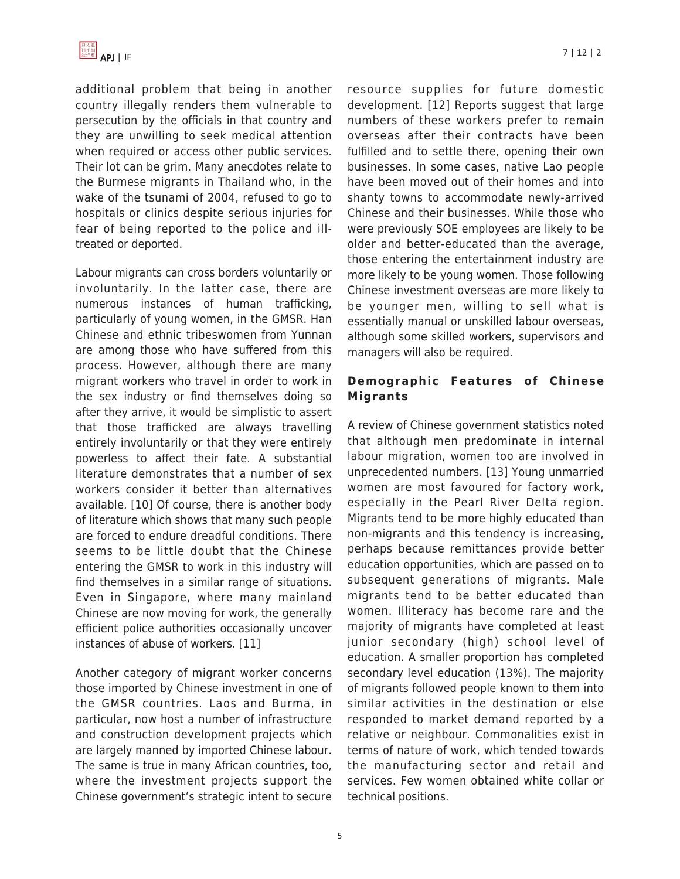

additional problem that being in another country illegally renders them vulnerable to persecution by the officials in that country and they are unwilling to seek medical attention when required or access other public services. Their lot can be grim. Many anecdotes relate to the Burmese migrants in Thailand who, in the wake of the tsunami of 2004, refused to go to hospitals or clinics despite serious injuries for fear of being reported to the police and illtreated or deported.

Labour migrants can cross borders voluntarily or involuntarily. In the latter case, there are numerous instances of human trafficking, particularly of young women, in the GMSR. Han Chinese and ethnic tribeswomen from Yunnan are among those who have suffered from this process. However, although there are many migrant workers who travel in order to work in the sex industry or find themselves doing so after they arrive, it would be simplistic to assert that those trafficked are always travelling entirely involuntarily or that they were entirely powerless to affect their fate. A substantial literature demonstrates that a number of sex workers consider it better than alternatives available. [10] Of course, there is another body of literature which shows that many such people are forced to endure dreadful conditions. There seems to be little doubt that the Chinese entering the GMSR to work in this industry will find themselves in a similar range of situations. Even in Singapore, where many mainland Chinese are now moving for work, the generally efficient police authorities occasionally uncover instances of abuse of workers. [11]

Another category of migrant worker concerns those imported by Chinese investment in one of the GMSR countries. Laos and Burma, in particular, now host a number of infrastructure and construction development projects which are largely manned by imported Chinese labour. The same is true in many African countries, too, where the investment projects support the Chinese government's strategic intent to secure resource supplies for future domestic development. [12] Reports suggest that large numbers of these workers prefer to remain overseas after their contracts have been fulfilled and to settle there, opening their own businesses. In some cases, native Lao people have been moved out of their homes and into shanty towns to accommodate newly-arrived Chinese and their businesses. While those who were previously SOE employees are likely to be older and better-educated than the average, those entering the entertainment industry are more likely to be young women. Those following Chinese investment overseas are more likely to be younger men, willing to sell what is essentially manual or unskilled labour overseas, although some skilled workers, supervisors and managers will also be required.

## **Demographic Features of Chinese Migrants**

A review of Chinese government statistics noted that although men predominate in internal labour migration, women too are involved in unprecedented numbers. [13] Young unmarried women are most favoured for factory work, especially in the Pearl River Delta region. Migrants tend to be more highly educated than non-migrants and this tendency is increasing, perhaps because remittances provide better education opportunities, which are passed on to subsequent generations of migrants. Male migrants tend to be better educated than women. Illiteracy has become rare and the majority of migrants have completed at least junior secondary (high) school level of education. A smaller proportion has completed secondary level education (13%). The majority of migrants followed people known to them into similar activities in the destination or else responded to market demand reported by a relative or neighbour. Commonalities exist in terms of nature of work, which tended towards the manufacturing sector and retail and services. Few women obtained white collar or technical positions.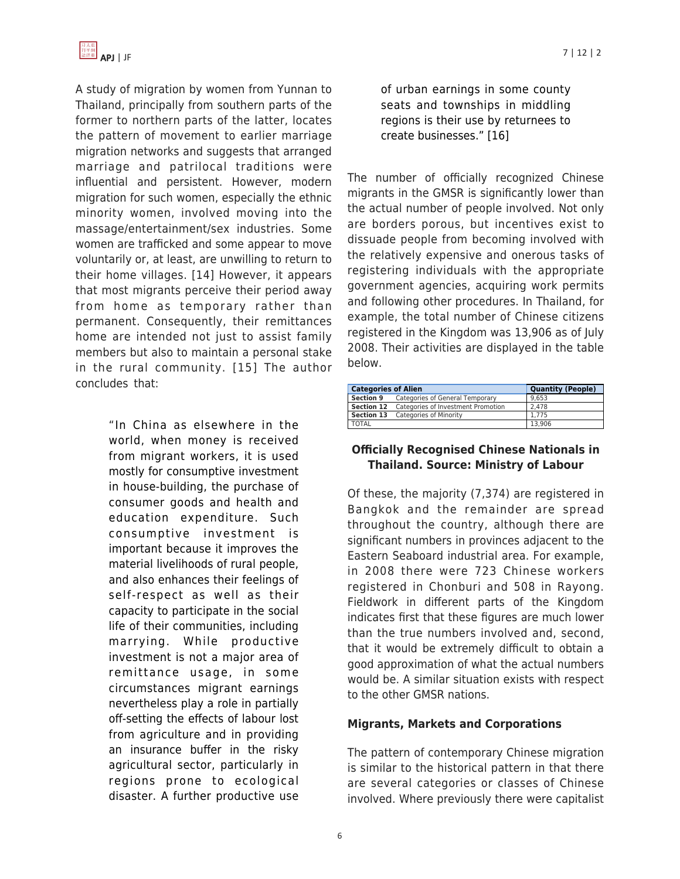

A study of migration by women from Yunnan to Thailand, principally from southern parts of the former to northern parts of the latter, locates the pattern of movement to earlier marriage migration networks and suggests that arranged marriage and patrilocal traditions were influential and persistent. However, modern migration for such women, especially the ethnic minority women, involved moving into the massage/entertainment/sex industries. Some women are trafficked and some appear to move voluntarily or, at least, are unwilling to return to their home villages. [14] However, it appears that most migrants perceive their period away from home as temporary rather than permanent. Consequently, their remittances home are intended not just to assist family members but also to maintain a personal stake in the rural community. [15] The author concludes that:

> "In China as elsewhere in the world, when money is received from migrant workers, it is used mostly for consumptive investment in house-building, the purchase of consumer goods and health and education expenditure. Such consumptive investment is important because it improves the material livelihoods of rural people, and also enhances their feelings of self-respect as well as their capacity to participate in the social life of their communities, including marrying. While productive investment is not a major area of remittance usage, in some circumstances migrant earnings nevertheless play a role in partially off-setting the effects of labour lost from agriculture and in providing an insurance buffer in the risky agricultural sector, particularly in regions prone to ecological disaster. A further productive use

of urban earnings in some county seats and townships in middling regions is their use by returnees to create businesses." [16]

The number of officially recognized Chinese migrants in the GMSR is significantly lower than the actual number of people involved. Not only are borders porous, but incentives exist to dissuade people from becoming involved with the relatively expensive and onerous tasks of registering individuals with the appropriate government agencies, acquiring work permits and following other procedures. In Thailand, for example, the total number of Chinese citizens registered in the Kingdom was 13,906 as of July 2008. Their activities are displayed in the table below.

| <b>Categories of Alien</b> |                                                  | <b>Quantity (People)</b> |
|----------------------------|--------------------------------------------------|--------------------------|
|                            | <b>Section 9</b> Categories of General Temporary | 9.653                    |
|                            | Section 12 Categories of Investment Promotion    | 2.478                    |
|                            | Section 13 Categories of Minority                | 1.775                    |
| <b>TOTAL</b>               |                                                  | 13.906                   |

#### **Officially Recognised Chinese Nationals in Thailand. Source: Ministry of Labour**

Of these, the majority (7,374) are registered in Bangkok and the remainder are spread throughout the country, although there are significant numbers in provinces adjacent to the Eastern Seaboard industrial area. For example, in 2008 there were 723 Chinese workers registered in Chonburi and 508 in Rayong. Fieldwork in different parts of the Kingdom indicates first that these figures are much lower than the true numbers involved and, second, that it would be extremely difficult to obtain a good approximation of what the actual numbers would be. A similar situation exists with respect to the other GMSR nations.

#### **Migrants, Markets and Corporations**

The pattern of contemporary Chinese migration is similar to the historical pattern in that there are several categories or classes of Chinese involved. Where previously there were capitalist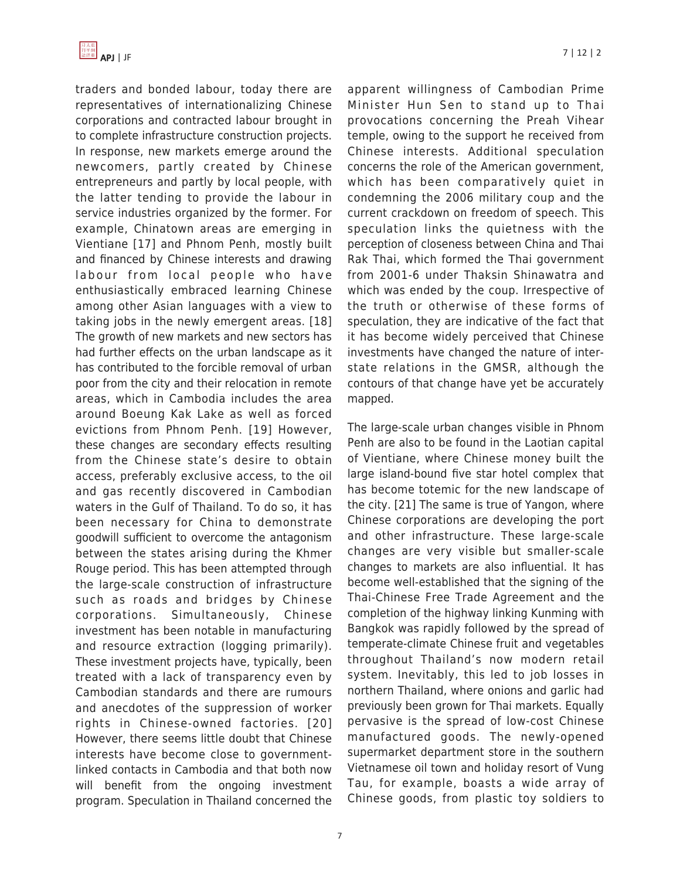traders and bonded labour, today there are representatives of internationalizing Chinese corporations and contracted labour brought in to complete infrastructure construction projects. In response, new markets emerge around the newcomers, partly created by Chinese entrepreneurs and partly by local people, with the latter tending to provide the labour in service industries organized by the former. For example, Chinatown areas are emerging in Vientiane [17] and Phnom Penh, mostly built and financed by Chinese interests and drawing labour from local people who have enthusiastically embraced learning Chinese among other Asian languages with a view to taking jobs in the newly emergent areas. [18] The growth of new markets and new sectors has had further effects on the urban landscape as it has contributed to the forcible removal of urban poor from the city and their relocation in remote areas, which in Cambodia includes the area around Boeung Kak Lake as well as forced evictions from Phnom Penh. [19] However, these changes are secondary effects resulting from the Chinese state's desire to obtain access, preferably exclusive access, to the oil and gas recently discovered in Cambodian waters in the Gulf of Thailand. To do so, it has been necessary for China to demonstrate goodwill sufficient to overcome the antagonism between the states arising during the Khmer Rouge period. This has been attempted through the large-scale construction of infrastructure such as roads and bridges by Chinese corporations. Simultaneously, Chinese investment has been notable in manufacturing and resource extraction (logging primarily). These investment projects have, typically, been treated with a lack of transparency even by Cambodian standards and there are rumours and anecdotes of the suppression of worker rights in Chinese-owned factories. [20] However, there seems little doubt that Chinese interests have become close to governmentlinked contacts in Cambodia and that both now will benefit from the ongoing investment program. Speculation in Thailand concerned the apparent willingness of Cambodian Prime Minister Hun Sen to stand up to Thai provocations concerning the Preah Vihear temple, owing to the support he received from Chinese interests. Additional speculation concerns the role of the American government, which has been comparatively quiet in condemning the 2006 military coup and the current crackdown on freedom of speech. This speculation links the quietness with the perception of closeness between China and Thai Rak Thai, which formed the Thai government from 2001-6 under Thaksin Shinawatra and which was ended by the coup. Irrespective of the truth or otherwise of these forms of speculation, they are indicative of the fact that it has become widely perceived that Chinese investments have changed the nature of interstate relations in the GMSR, although the contours of that change have yet be accurately mapped.

The large-scale urban changes visible in Phnom Penh are also to be found in the Laotian capital of Vientiane, where Chinese money built the large island-bound five star hotel complex that has become totemic for the new landscape of the city. [21] The same is true of Yangon, where Chinese corporations are developing the port and other infrastructure. These large-scale changes are very visible but smaller-scale changes to markets are also influential. It has become well-established that the signing of the Thai-Chinese Free Trade Agreement and the completion of the highway linking Kunming with Bangkok was rapidly followed by the spread of temperate-climate Chinese fruit and vegetables throughout Thailand's now modern retail system. Inevitably, this led to job losses in northern Thailand, where onions and garlic had previously been grown for Thai markets. Equally pervasive is the spread of low-cost Chinese manufactured goods. The newly-opened supermarket department store in the southern Vietnamese oil town and holiday resort of Vung Tau, for example, boasts a wide array of Chinese goods, from plastic toy soldiers to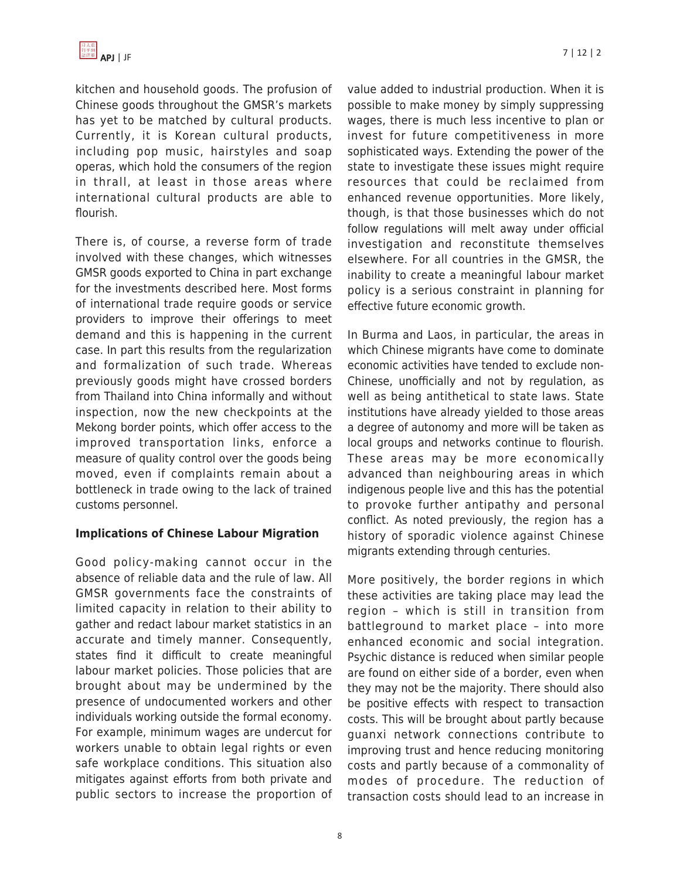kitchen and household goods. The profusion of Chinese goods throughout the GMSR's markets has yet to be matched by cultural products. Currently, it is Korean cultural products, including pop music, hairstyles and soap operas, which hold the consumers of the region in thrall, at least in those areas where international cultural products are able to flourish.

There is, of course, a reverse form of trade involved with these changes, which witnesses GMSR goods exported to China in part exchange for the investments described here. Most forms of international trade require goods or service providers to improve their offerings to meet demand and this is happening in the current case. In part this results from the regularization and formalization of such trade. Whereas previously goods might have crossed borders from Thailand into China informally and without inspection, now the new checkpoints at the Mekong border points, which offer access to the improved transportation links, enforce a measure of quality control over the goods being moved, even if complaints remain about a bottleneck in trade owing to the lack of trained customs personnel.

#### **Implications of Chinese Labour Migration**

Good policy-making cannot occur in the absence of reliable data and the rule of law. All GMSR governments face the constraints of limited capacity in relation to their ability to gather and redact labour market statistics in an accurate and timely manner. Consequently, states find it difficult to create meaningful labour market policies. Those policies that are brought about may be undermined by the presence of undocumented workers and other individuals working outside the formal economy. For example, minimum wages are undercut for workers unable to obtain legal rights or even safe workplace conditions. This situation also mitigates against efforts from both private and public sectors to increase the proportion of

value added to industrial production. When it is possible to make money by simply suppressing wages, there is much less incentive to plan or invest for future competitiveness in more sophisticated ways. Extending the power of the state to investigate these issues might require resources that could be reclaimed from enhanced revenue opportunities. More likely, though, is that those businesses which do not follow regulations will melt away under official investigation and reconstitute themselves elsewhere. For all countries in the GMSR, the inability to create a meaningful labour market policy is a serious constraint in planning for effective future economic growth.

In Burma and Laos, in particular, the areas in which Chinese migrants have come to dominate economic activities have tended to exclude non-Chinese, unofficially and not by regulation, as well as being antithetical to state laws. State institutions have already yielded to those areas a degree of autonomy and more will be taken as local groups and networks continue to flourish. These areas may be more economically advanced than neighbouring areas in which indigenous people live and this has the potential to provoke further antipathy and personal conflict. As noted previously, the region has a history of sporadic violence against Chinese migrants extending through centuries.

More positively, the border regions in which these activities are taking place may lead the region – which is still in transition from battleground to market place – into more enhanced economic and social integration. Psychic distance is reduced when similar people are found on either side of a border, even when they may not be the majority. There should also be positive effects with respect to transaction costs. This will be brought about partly because guanxi network connections contribute to improving trust and hence reducing monitoring costs and partly because of a commonality of modes of procedure. The reduction of transaction costs should lead to an increase in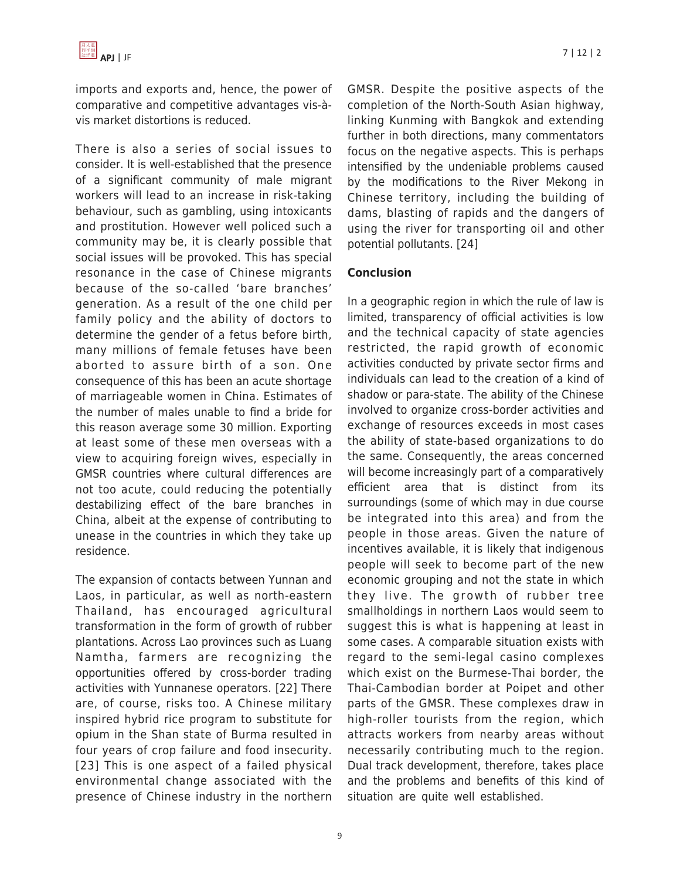imports and exports and, hence, the power of comparative and competitive advantages vis-àvis market distortions is reduced.

There is also a series of social issues to consider. It is well-established that the presence of a significant community of male migrant workers will lead to an increase in risk-taking behaviour, such as gambling, using intoxicants and prostitution. However well policed such a community may be, it is clearly possible that social issues will be provoked. This has special resonance in the case of Chinese migrants because of the so-called 'bare branches' generation. As a result of the one child per family policy and the ability of doctors to determine the gender of a fetus before birth, many millions of female fetuses have been aborted to assure birth of a son. One consequence of this has been an acute shortage of marriageable women in China. Estimates of the number of males unable to find a bride for this reason average some 30 million. Exporting at least some of these men overseas with a view to acquiring foreign wives, especially in GMSR countries where cultural differences are not too acute, could reducing the potentially destabilizing effect of the bare branches in China, albeit at the expense of contributing to unease in the countries in which they take up residence.

The expansion of contacts between Yunnan and Laos, in particular, as well as north-eastern Thailand, has encouraged agricultural transformation in the form of growth of rubber plantations. Across Lao provinces such as Luang Namtha, farmers are recognizing the opportunities offered by cross-border trading activities with Yunnanese operators. [22] There are, of course, risks too. A Chinese military inspired hybrid rice program to substitute for opium in the Shan state of Burma resulted in four years of crop failure and food insecurity. [23] This is one aspect of a failed physical environmental change associated with the presence of Chinese industry in the northern GMSR. Despite the positive aspects of the completion of the North-South Asian highway, linking Kunming with Bangkok and extending further in both directions, many commentators focus on the negative aspects. This is perhaps intensified by the undeniable problems caused by the modifications to the River Mekong in Chinese territory, including the building of dams, blasting of rapids and the dangers of using the river for transporting oil and other potential pollutants. [24]

## **Conclusion**

In a geographic region in which the rule of law is limited, transparency of official activities is low and the technical capacity of state agencies restricted, the rapid growth of economic activities conducted by private sector firms and individuals can lead to the creation of a kind of shadow or para-state. The ability of the Chinese involved to organize cross-border activities and exchange of resources exceeds in most cases the ability of state-based organizations to do the same. Consequently, the areas concerned will become increasingly part of a comparatively efficient area that is distinct from its surroundings (some of which may in due course be integrated into this area) and from the people in those areas. Given the nature of incentives available, it is likely that indigenous people will seek to become part of the new economic grouping and not the state in which they live. The growth of rubber tree smallholdings in northern Laos would seem to suggest this is what is happening at least in some cases. A comparable situation exists with regard to the semi-legal casino complexes which exist on the Burmese-Thai border, the Thai-Cambodian border at Poipet and other parts of the GMSR. These complexes draw in high-roller tourists from the region, which attracts workers from nearby areas without necessarily contributing much to the region. Dual track development, therefore, takes place and the problems and benefits of this kind of situation are quite well established.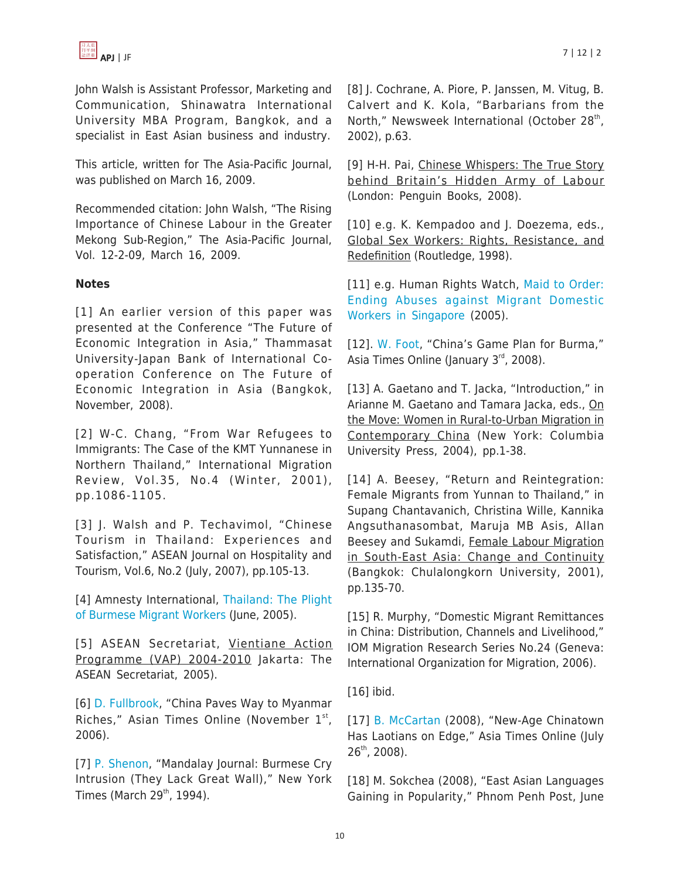

John Walsh is Assistant Professor, Marketing and Communication, Shinawatra International University MBA Program, Bangkok, and a specialist in East Asian business and industry.

This article, written for The Asia-Pacific Journal, was published on March 16, 2009.

Recommended citation: John Walsh, "The Rising Importance of Chinese Labour in the Greater Mekong Sub-Region," The Asia-Pacific Journal, Vol. 12-2-09, March 16, 2009.

#### **Notes**

[1] An earlier version of this paper was presented at the Conference "The Future of Economic Integration in Asia," Thammasat University-Japan Bank of International Cooperation Conference on The Future of Economic Integration in Asia (Bangkok, November, 2008).

[2] W-C. Chang, "From War Refugees to Immigrants: The Case of the KMT Yunnanese in Northern Thailand," International Migration Review, Vol.35, No.4 (Winter, 2001), pp.1086-1105.

[3] J. Walsh and P. Techavimol, "Chinese Tourism in Thailand: Experiences and Satisfaction," ASEAN Journal on Hospitality and Tourism, Vol.6, No.2 (July, 2007), pp.105-13.

[4] Amnesty International, [Thailand: The Plight](http://www.amnesty.org/en/library/asset/ASA39/001/2005/en/dom-ASA390012005en.html) [of Burmese Migrant Workers](http://www.amnesty.org/en/library/asset/ASA39/001/2005/en/dom-ASA390012005en.html) (June, 2005).

[5] ASEAN Secretariat, Vientiane Action Programme (VAP) 2004-2010 Jakarta: The ASEAN Secretariat, 2005).

[6] [D. Fullbrook](http://www.atimes.com/atimes/Southeast_Asia/HK01Ae01.html), "China Paves Way to Myanmar Riches," Asian Times Online (November  $1<sup>st</sup>$ , 2006).

[7] [P. Shenon,](http://query.nytimes.com/gst/fullpage.html?res=9B00E6D7163FF93AA15750C0A962958260) "Mandalay Journal: Burmese Cry Intrusion (They Lack Great Wall)," New York Times (March  $29<sup>th</sup>$ , 1994).

[8] J. Cochrane, A. Piore, P. Janssen, M. Vitug, B. Calvert and K. Kola, "Barbarians from the North," Newsweek International (October 28<sup>th</sup>, 2002), p.63.

[9] H-H. Pai, Chinese Whispers: The True Story behind Britain's Hidden Army of Labour (London: Penguin Books, 2008).

[10] e.g. K. Kempadoo and J. Doezema, eds., Global Sex Workers: Rights, Resistance, and Redefinition (Routledge, 1998).

[11] e.g. Human Rights Watch, [Maid to Order:](http://hrw.org/reports/2005/singapore1205/singapore1205wcover.pdf) [Ending Abuses against Migrant Domestic](http://hrw.org/reports/2005/singapore1205/singapore1205wcover.pdf) [Workers in Singapore](http://hrw.org/reports/2005/singapore1205/singapore1205wcover.pdf) (2005).

[12]. [W. Foot,](http://www.irrawaddy.org/print_page.php?art_id=9799) "China's Game Plan for Burma," Asia Times Online (January  $3<sup>rd</sup>$ , 2008).

[13] A. Gaetano and T. Jacka, "Introduction," in Arianne M. Gaetano and Tamara Jacka, eds., On the Move: Women in Rural-to-Urban Migration in Contemporary China (New York: Columbia University Press, 2004), pp.1-38.

[14] A. Beesey, "Return and Reintegration: Female Migrants from Yunnan to Thailand," in Supang Chantavanich, Christina Wille, Kannika Angsuthanasombat, Maruja MB Asis, Allan Beesey and Sukamdi, Female Labour Migration in South-East Asia: Change and Continuity (Bangkok: Chulalongkorn University, 2001), pp.135-70.

[15] R. Murphy, "Domestic Migrant Remittances in China: Distribution, Channels and Livelihood," IOM Migration Research Series No.24 (Geneva: International Organization for Migration, 2006).

[16] ibid.

[17] [B. McCartan](http://www.atimes.com/atimes/Southeast_Asia/JG26Ae02.html) (2008), "New-Age Chinatown Has Laotians on Edge," Asia Times Online (July  $26^{th}$ , 2008).

[18] M. Sokchea (2008), "East Asian Languages Gaining in Popularity," Phnom Penh Post, June